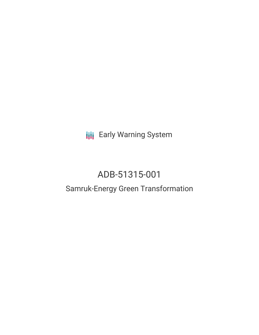**III** Early Warning System

# ADB-51315-001

# Samruk-Energy Green Transformation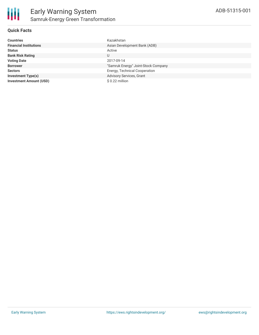

### **Quick Facts**

| <b>Countries</b>               | Kazakhstan                          |
|--------------------------------|-------------------------------------|
| <b>Financial Institutions</b>  | Asian Development Bank (ADB)        |
| <b>Status</b>                  | Active                              |
| <b>Bank Risk Rating</b>        | U                                   |
| <b>Voting Date</b>             | 2017-09-14                          |
| <b>Borrower</b>                | "Samruk Energy" Joint-Stock Company |
| <b>Sectors</b>                 | Energy, Technical Cooperation       |
| <b>Investment Type(s)</b>      | Advisory Services, Grant            |
| <b>Investment Amount (USD)</b> | $$0.22$ million                     |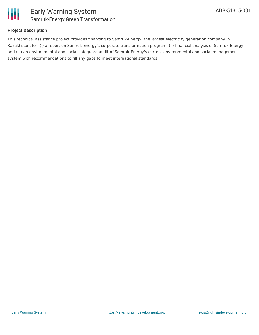

## **Project Description**

This technical assistance project provides financing to Samruk-Energy, the largest electricity generation company in Kazakhstan, for: (i) a report on Samruk-Energy's corporate transformation program; (ii) financial analysis of Samruk-Energy; and (iii) an environmental and social safeguard audit of Samruk-Energy's current environmental and social management system with recommendations to fill any gaps to meet international standards.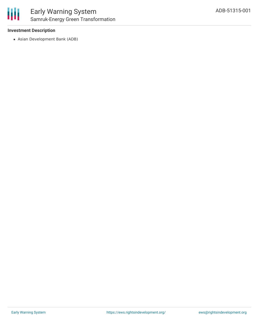### **Investment Description**

Asian Development Bank (ADB)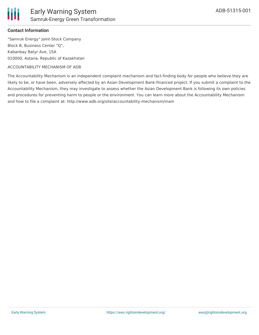

#### **Contact Information**

"Samruk Energy" Joint-Stock Company Block B, Business Center "Q", Kabanbay Batyr Ave, 15A 010000, Astana, Republic of Kazakhstan

#### ACCOUNTABILITY MECHANISM OF ADB

The Accountability Mechanism is an independent complaint mechanism and fact-finding body for people who believe they are likely to be, or have been, adversely affected by an Asian Development Bank-financed project. If you submit a complaint to the Accountability Mechanism, they may investigate to assess whether the Asian Development Bank is following its own policies and procedures for preventing harm to people or the environment. You can learn more about the Accountability Mechanism and how to file a complaint at: http://www.adb.org/site/accountability-mechanism/main